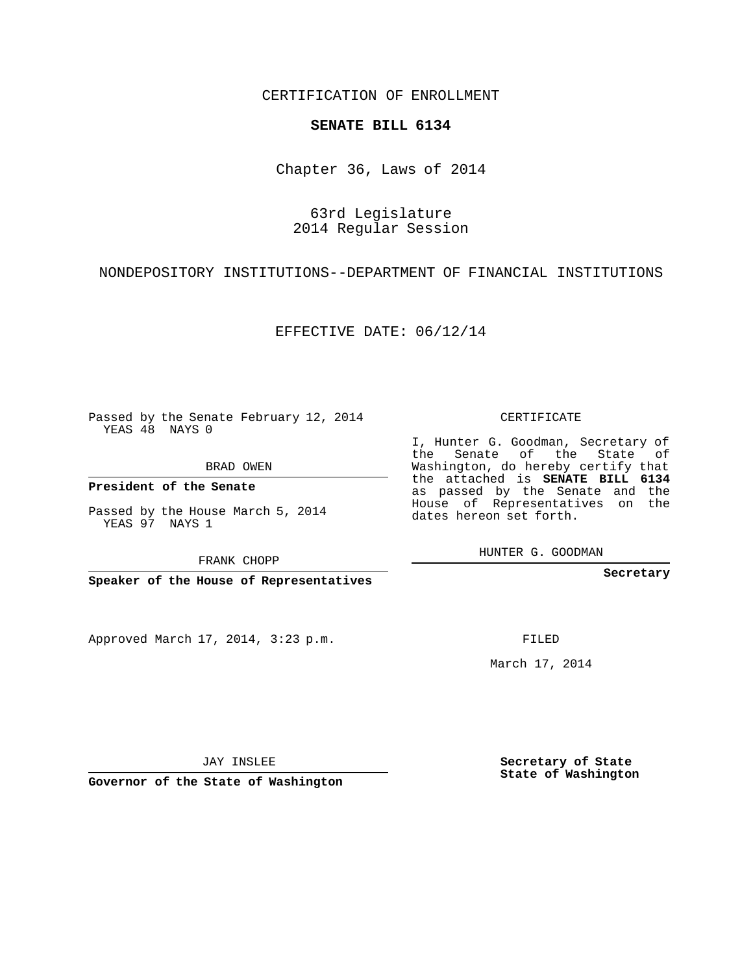CERTIFICATION OF ENROLLMENT

## **SENATE BILL 6134**

Chapter 36, Laws of 2014

63rd Legislature 2014 Regular Session

NONDEPOSITORY INSTITUTIONS--DEPARTMENT OF FINANCIAL INSTITUTIONS

EFFECTIVE DATE: 06/12/14

Passed by the Senate February 12, 2014 YEAS 48 NAYS 0

BRAD OWEN

**President of the Senate**

Passed by the House March 5, 2014 YEAS 97 NAYS 1

FRANK CHOPP

**Speaker of the House of Representatives**

Approved March 17, 2014, 3:23 p.m.

CERTIFICATE

I, Hunter G. Goodman, Secretary of the Senate of the State of Washington, do hereby certify that the attached is **SENATE BILL 6134** as passed by the Senate and the House of Representatives on the dates hereon set forth.

HUNTER G. GOODMAN

**Secretary**

FILED

March 17, 2014

**Secretary of State State of Washington**

JAY INSLEE

**Governor of the State of Washington**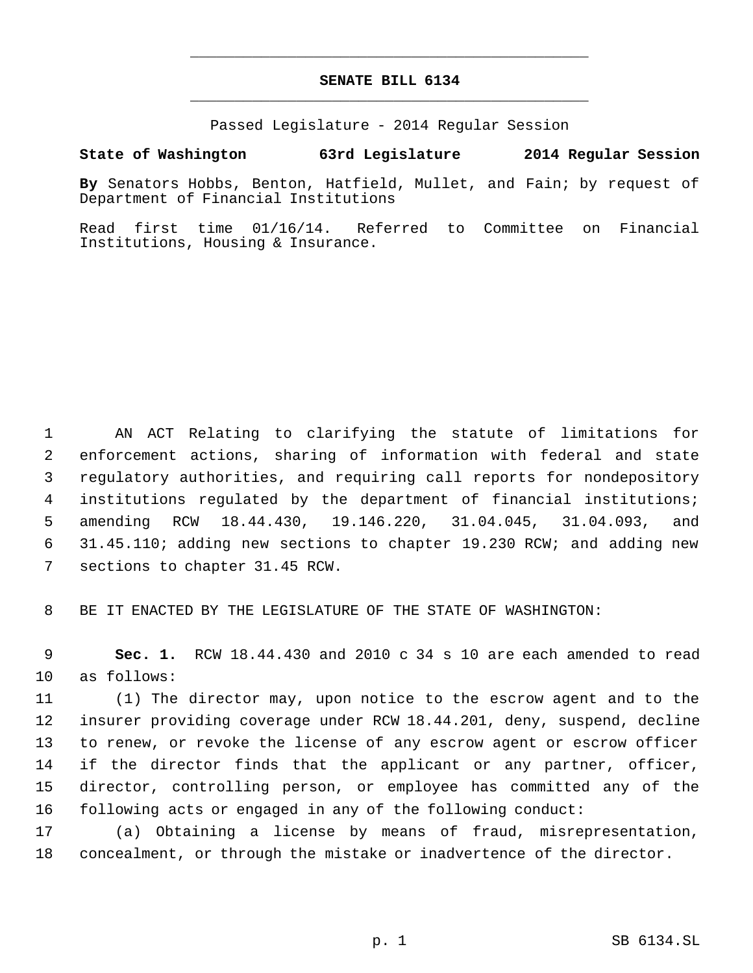## **SENATE BILL 6134** \_\_\_\_\_\_\_\_\_\_\_\_\_\_\_\_\_\_\_\_\_\_\_\_\_\_\_\_\_\_\_\_\_\_\_\_\_\_\_\_\_\_\_\_\_

\_\_\_\_\_\_\_\_\_\_\_\_\_\_\_\_\_\_\_\_\_\_\_\_\_\_\_\_\_\_\_\_\_\_\_\_\_\_\_\_\_\_\_\_\_

Passed Legislature - 2014 Regular Session

## **State of Washington 63rd Legislature 2014 Regular Session**

**By** Senators Hobbs, Benton, Hatfield, Mullet, and Fain; by request of Department of Financial Institutions

Read first time 01/16/14. Referred to Committee on Financial Institutions, Housing & Insurance.

 AN ACT Relating to clarifying the statute of limitations for enforcement actions, sharing of information with federal and state regulatory authorities, and requiring call reports for nondepository institutions regulated by the department of financial institutions; amending RCW 18.44.430, 19.146.220, 31.04.045, 31.04.093, and 31.45.110; adding new sections to chapter 19.230 RCW; and adding new sections to chapter 31.45 RCW.

BE IT ENACTED BY THE LEGISLATURE OF THE STATE OF WASHINGTON:

 **Sec. 1.** RCW 18.44.430 and 2010 c 34 s 10 are each amended to read as follows:

 (1) The director may, upon notice to the escrow agent and to the insurer providing coverage under RCW 18.44.201, deny, suspend, decline to renew, or revoke the license of any escrow agent or escrow officer if the director finds that the applicant or any partner, officer, director, controlling person, or employee has committed any of the following acts or engaged in any of the following conduct:

 (a) Obtaining a license by means of fraud, misrepresentation, concealment, or through the mistake or inadvertence of the director.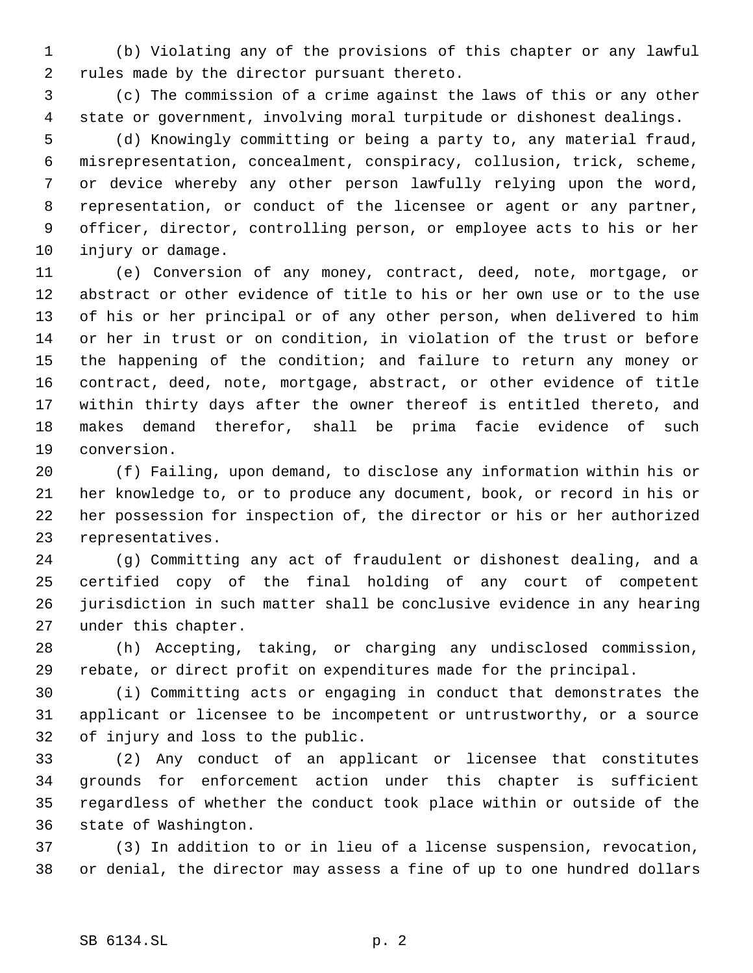(b) Violating any of the provisions of this chapter or any lawful rules made by the director pursuant thereto.

 (c) The commission of a crime against the laws of this or any other state or government, involving moral turpitude or dishonest dealings.

 (d) Knowingly committing or being a party to, any material fraud, misrepresentation, concealment, conspiracy, collusion, trick, scheme, or device whereby any other person lawfully relying upon the word, representation, or conduct of the licensee or agent or any partner, officer, director, controlling person, or employee acts to his or her injury or damage.

 (e) Conversion of any money, contract, deed, note, mortgage, or abstract or other evidence of title to his or her own use or to the use of his or her principal or of any other person, when delivered to him or her in trust or on condition, in violation of the trust or before the happening of the condition; and failure to return any money or contract, deed, note, mortgage, abstract, or other evidence of title within thirty days after the owner thereof is entitled thereto, and makes demand therefor, shall be prima facie evidence of such conversion.

 (f) Failing, upon demand, to disclose any information within his or her knowledge to, or to produce any document, book, or record in his or her possession for inspection of, the director or his or her authorized representatives.

 (g) Committing any act of fraudulent or dishonest dealing, and a certified copy of the final holding of any court of competent jurisdiction in such matter shall be conclusive evidence in any hearing under this chapter.

 (h) Accepting, taking, or charging any undisclosed commission, rebate, or direct profit on expenditures made for the principal.

 (i) Committing acts or engaging in conduct that demonstrates the applicant or licensee to be incompetent or untrustworthy, or a source of injury and loss to the public.

 (2) Any conduct of an applicant or licensee that constitutes grounds for enforcement action under this chapter is sufficient regardless of whether the conduct took place within or outside of the state of Washington.

 (3) In addition to or in lieu of a license suspension, revocation, or denial, the director may assess a fine of up to one hundred dollars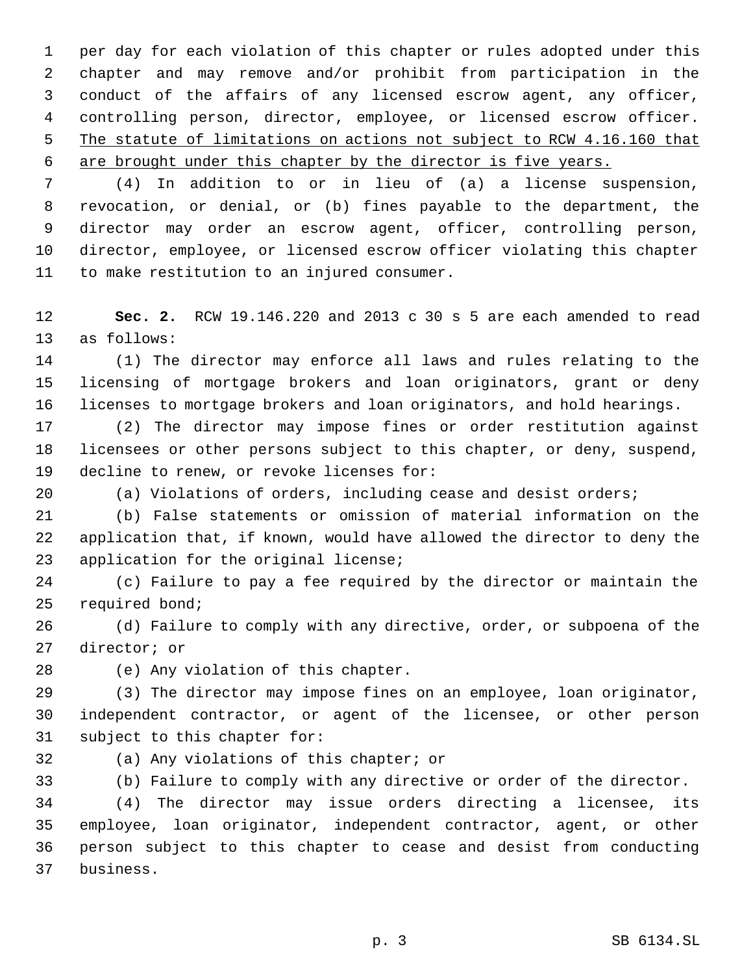per day for each violation of this chapter or rules adopted under this chapter and may remove and/or prohibit from participation in the conduct of the affairs of any licensed escrow agent, any officer, controlling person, director, employee, or licensed escrow officer. 5 The statute of limitations on actions not subject to RCW 4.16.160 that are brought under this chapter by the director is five years.

 (4) In addition to or in lieu of (a) a license suspension, revocation, or denial, or (b) fines payable to the department, the director may order an escrow agent, officer, controlling person, director, employee, or licensed escrow officer violating this chapter to make restitution to an injured consumer.

 **Sec. 2.** RCW 19.146.220 and 2013 c 30 s 5 are each amended to read as follows:

 (1) The director may enforce all laws and rules relating to the licensing of mortgage brokers and loan originators, grant or deny licenses to mortgage brokers and loan originators, and hold hearings.

 (2) The director may impose fines or order restitution against licensees or other persons subject to this chapter, or deny, suspend, decline to renew, or revoke licenses for:

(a) Violations of orders, including cease and desist orders;

 (b) False statements or omission of material information on the application that, if known, would have allowed the director to deny the application for the original license;

 (c) Failure to pay a fee required by the director or maintain the required bond;

 (d) Failure to comply with any directive, order, or subpoena of the director; or

(e) Any violation of this chapter.

 (3) The director may impose fines on an employee, loan originator, independent contractor, or agent of the licensee, or other person subject to this chapter for:

(a) Any violations of this chapter; or

(b) Failure to comply with any directive or order of the director.

 (4) The director may issue orders directing a licensee, its employee, loan originator, independent contractor, agent, or other person subject to this chapter to cease and desist from conducting business.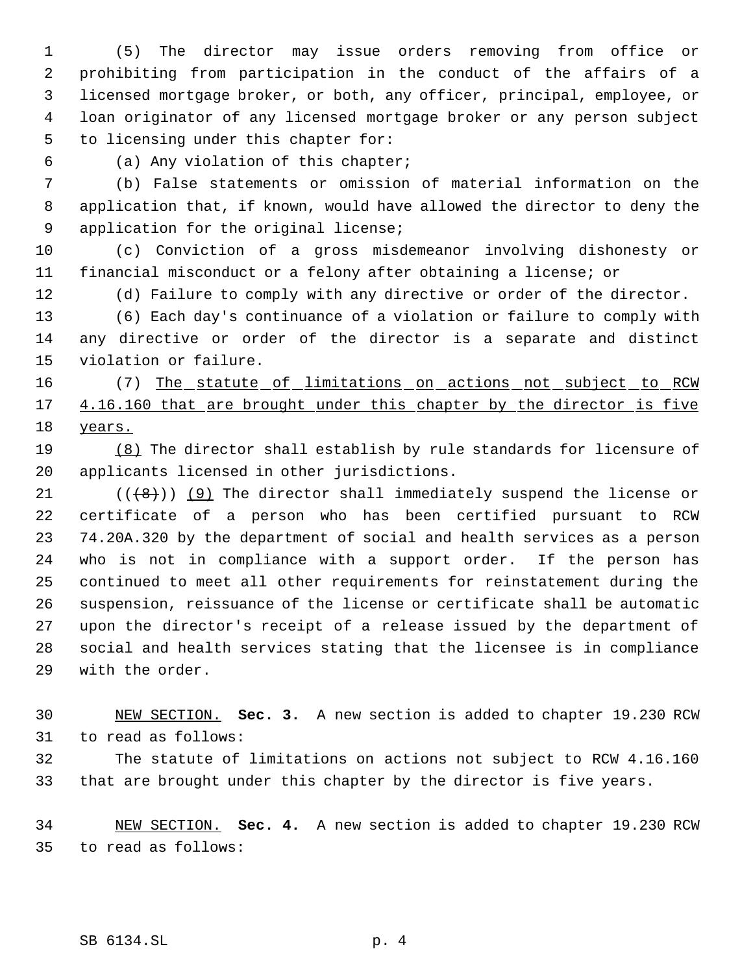(5) The director may issue orders removing from office or prohibiting from participation in the conduct of the affairs of a licensed mortgage broker, or both, any officer, principal, employee, or loan originator of any licensed mortgage broker or any person subject to licensing under this chapter for:

(a) Any violation of this chapter;

 (b) False statements or omission of material information on the application that, if known, would have allowed the director to deny the application for the original license;

 (c) Conviction of a gross misdemeanor involving dishonesty or financial misconduct or a felony after obtaining a license; or

(d) Failure to comply with any directive or order of the director.

 (6) Each day's continuance of a violation or failure to comply with any directive or order of the director is a separate and distinct violation or failure.

16 (7) The statute of limitations on actions not subject to RCW 17 4.16.160 that are brought under this chapter by the director is five years.

 (8) The director shall establish by rule standards for licensure of applicants licensed in other jurisdictions.

 $((+8))$  (9) The director shall immediately suspend the license or certificate of a person who has been certified pursuant to RCW 74.20A.320 by the department of social and health services as a person who is not in compliance with a support order. If the person has continued to meet all other requirements for reinstatement during the suspension, reissuance of the license or certificate shall be automatic upon the director's receipt of a release issued by the department of social and health services stating that the licensee is in compliance with the order.

 NEW SECTION. **Sec. 3.** A new section is added to chapter 19.230 RCW to read as follows:

 The statute of limitations on actions not subject to RCW 4.16.160 that are brought under this chapter by the director is five years.

 NEW SECTION. **Sec. 4.** A new section is added to chapter 19.230 RCW to read as follows: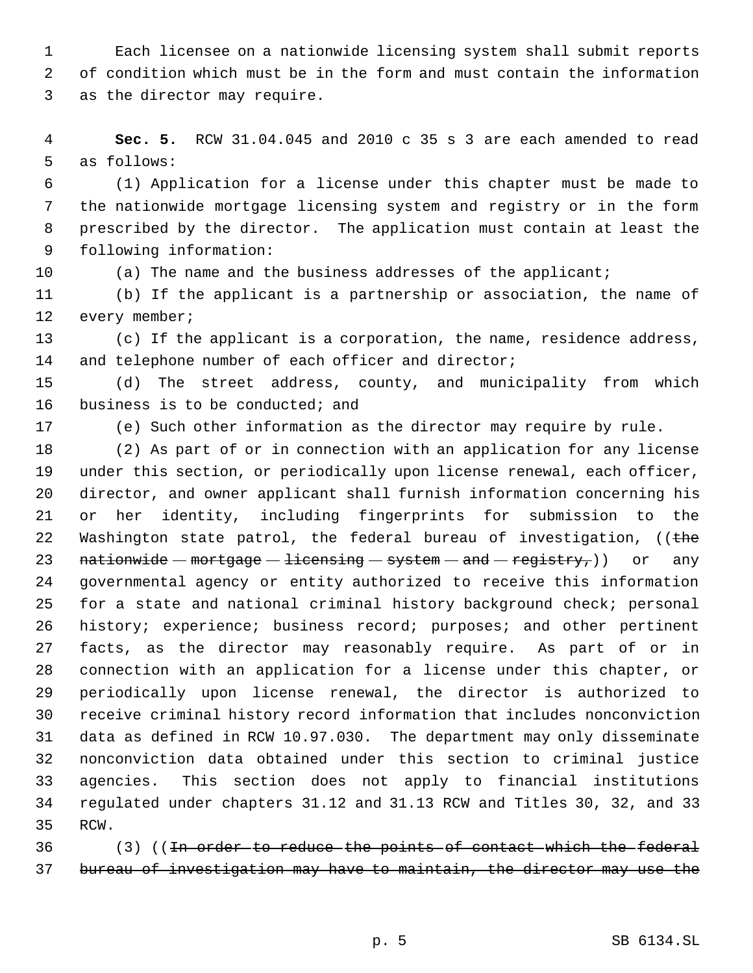Each licensee on a nationwide licensing system shall submit reports of condition which must be in the form and must contain the information as the director may require.

 **Sec. 5.** RCW 31.04.045 and 2010 c 35 s 3 are each amended to read as follows:

 (1) Application for a license under this chapter must be made to the nationwide mortgage licensing system and registry or in the form prescribed by the director. The application must contain at least the following information:

(a) The name and the business addresses of the applicant;

 (b) If the applicant is a partnership or association, the name of 12 every member;

 (c) If the applicant is a corporation, the name, residence address, 14 and telephone number of each officer and director;

 (d) The street address, county, and municipality from which 16 business is to be conducted; and

(e) Such other information as the director may require by rule.

 (2) As part of or in connection with an application for any license under this section, or periodically upon license renewal, each officer, director, and owner applicant shall furnish information concerning his or her identity, including fingerprints for submission to the 22 Washington state patrol, the federal bureau of investigation, ((the 23 nationwide  $-$  mortgage  $-$  licensing  $-$  system  $-$  and  $-$  registry,)) or any governmental agency or entity authorized to receive this information for a state and national criminal history background check; personal 26 history; experience; business record; purposes; and other pertinent facts, as the director may reasonably require. As part of or in connection with an application for a license under this chapter, or periodically upon license renewal, the director is authorized to receive criminal history record information that includes nonconviction data as defined in RCW 10.97.030. The department may only disseminate nonconviction data obtained under this section to criminal justice agencies. This section does not apply to financial institutions regulated under chapters 31.12 and 31.13 RCW and Titles 30, 32, and 33 RCW.

36 (3) ((<del>In order to reduce the points of contact which the federal</del> bureau of investigation may have to maintain, the director may use the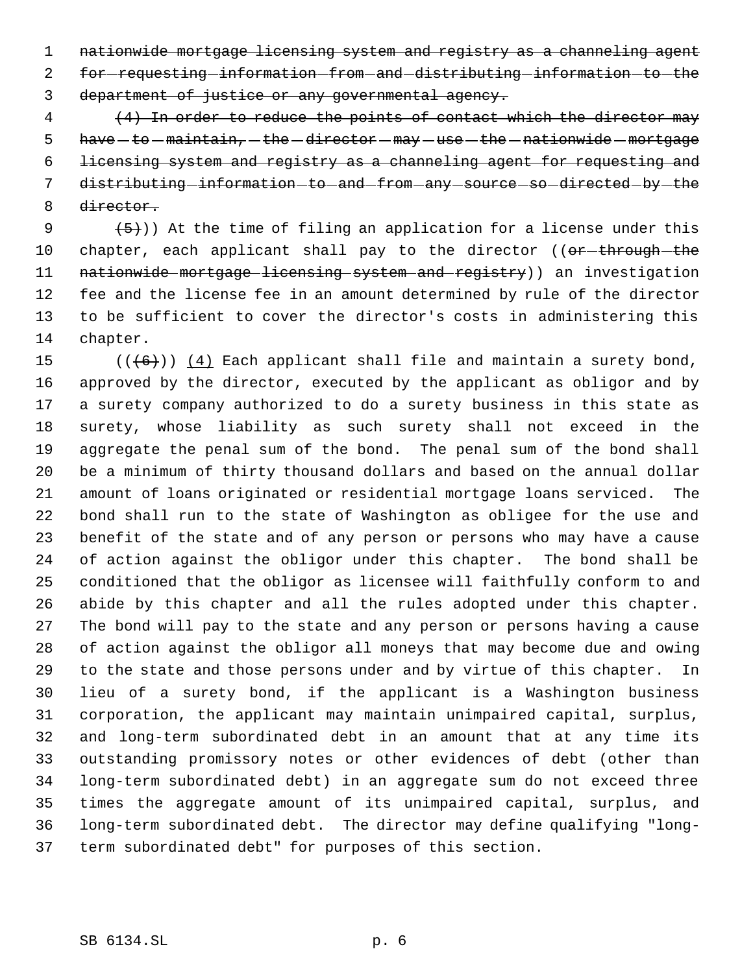nationwide mortgage licensing system and registry as a channeling agent 2 for-requesting-information-from-and-distributing-information-to-the department of justice or any governmental agency.

 (4) In order to reduce the points of contact which the director may  $have - to - maintain, - the - director - may - use - the - nationwide - mortgage$  licensing system and registry as a channeling agent for requesting and 7 distributing-information-to-and-from-any-source-so-directed-by-the director.

9  $(5)$ )) At the time of filing an application for a license under this 10 chapter, each applicant shall pay to the director ((or-through-the 11 nationwide mortgage licensing system and registry)) an investigation fee and the license fee in an amount determined by rule of the director to be sufficient to cover the director's costs in administering this chapter.

 $((+6))$   $(4)$  Each applicant shall file and maintain a surety bond, approved by the director, executed by the applicant as obligor and by a surety company authorized to do a surety business in this state as surety, whose liability as such surety shall not exceed in the aggregate the penal sum of the bond. The penal sum of the bond shall be a minimum of thirty thousand dollars and based on the annual dollar amount of loans originated or residential mortgage loans serviced. The bond shall run to the state of Washington as obligee for the use and benefit of the state and of any person or persons who may have a cause of action against the obligor under this chapter. The bond shall be conditioned that the obligor as licensee will faithfully conform to and abide by this chapter and all the rules adopted under this chapter. The bond will pay to the state and any person or persons having a cause of action against the obligor all moneys that may become due and owing to the state and those persons under and by virtue of this chapter. In lieu of a surety bond, if the applicant is a Washington business corporation, the applicant may maintain unimpaired capital, surplus, and long-term subordinated debt in an amount that at any time its outstanding promissory notes or other evidences of debt (other than long-term subordinated debt) in an aggregate sum do not exceed three times the aggregate amount of its unimpaired capital, surplus, and long-term subordinated debt. The director may define qualifying "long-term subordinated debt" for purposes of this section.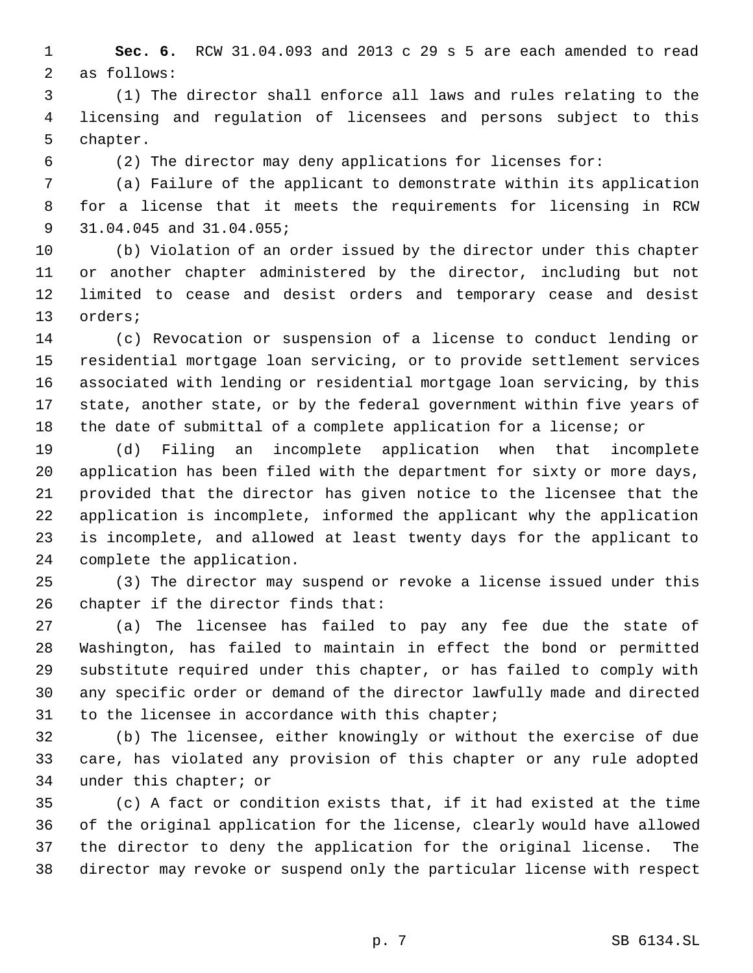**Sec. 6.** RCW 31.04.093 and 2013 c 29 s 5 are each amended to read as follows:

 (1) The director shall enforce all laws and rules relating to the licensing and regulation of licensees and persons subject to this chapter.

(2) The director may deny applications for licenses for:

 (a) Failure of the applicant to demonstrate within its application for a license that it meets the requirements for licensing in RCW 31.04.045 and 31.04.055;

 (b) Violation of an order issued by the director under this chapter or another chapter administered by the director, including but not limited to cease and desist orders and temporary cease and desist orders;

 (c) Revocation or suspension of a license to conduct lending or residential mortgage loan servicing, or to provide settlement services associated with lending or residential mortgage loan servicing, by this state, another state, or by the federal government within five years of the date of submittal of a complete application for a license; or

 (d) Filing an incomplete application when that incomplete application has been filed with the department for sixty or more days, provided that the director has given notice to the licensee that the application is incomplete, informed the applicant why the application is incomplete, and allowed at least twenty days for the applicant to complete the application.

 (3) The director may suspend or revoke a license issued under this chapter if the director finds that:

 (a) The licensee has failed to pay any fee due the state of Washington, has failed to maintain in effect the bond or permitted substitute required under this chapter, or has failed to comply with any specific order or demand of the director lawfully made and directed to the licensee in accordance with this chapter;

 (b) The licensee, either knowingly or without the exercise of due care, has violated any provision of this chapter or any rule adopted under this chapter; or

 (c) A fact or condition exists that, if it had existed at the time of the original application for the license, clearly would have allowed the director to deny the application for the original license. The director may revoke or suspend only the particular license with respect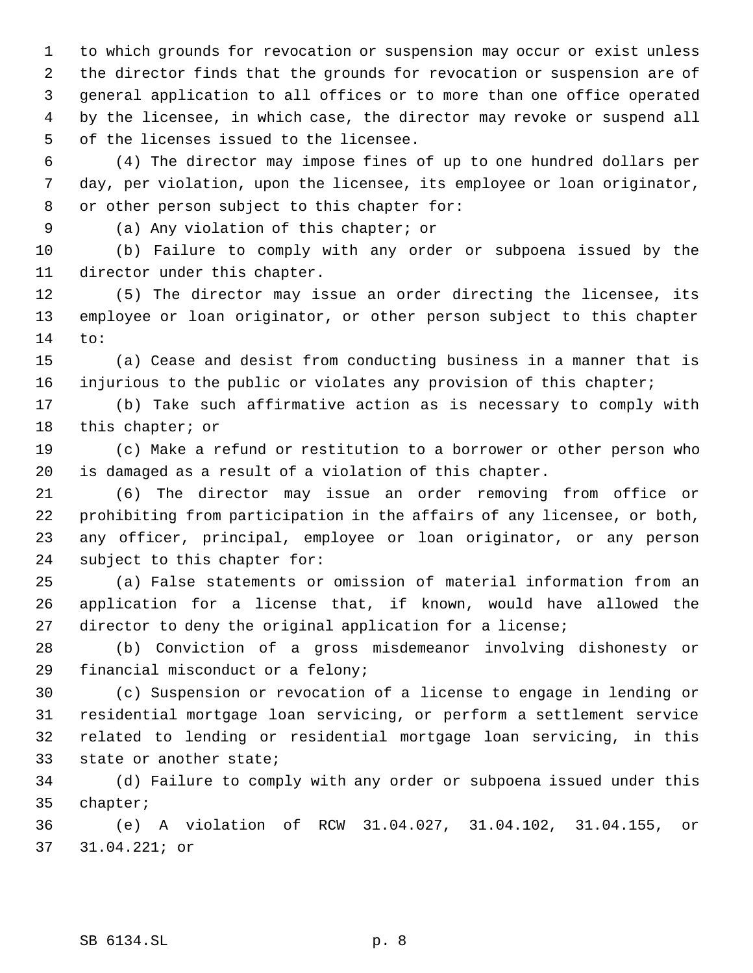to which grounds for revocation or suspension may occur or exist unless the director finds that the grounds for revocation or suspension are of general application to all offices or to more than one office operated by the licensee, in which case, the director may revoke or suspend all of the licenses issued to the licensee.

 (4) The director may impose fines of up to one hundred dollars per day, per violation, upon the licensee, its employee or loan originator, or other person subject to this chapter for:

(a) Any violation of this chapter; or

 (b) Failure to comply with any order or subpoena issued by the director under this chapter.

 (5) The director may issue an order directing the licensee, its employee or loan originator, or other person subject to this chapter to:

 (a) Cease and desist from conducting business in a manner that is injurious to the public or violates any provision of this chapter;

 (b) Take such affirmative action as is necessary to comply with 18 this chapter; or

 (c) Make a refund or restitution to a borrower or other person who is damaged as a result of a violation of this chapter.

 (6) The director may issue an order removing from office or prohibiting from participation in the affairs of any licensee, or both, any officer, principal, employee or loan originator, or any person subject to this chapter for:

 (a) False statements or omission of material information from an application for a license that, if known, would have allowed the director to deny the original application for a license;

 (b) Conviction of a gross misdemeanor involving dishonesty or financial misconduct or a felony;

 (c) Suspension or revocation of a license to engage in lending or residential mortgage loan servicing, or perform a settlement service related to lending or residential mortgage loan servicing, in this state or another state;

 (d) Failure to comply with any order or subpoena issued under this chapter;

 (e) A violation of RCW 31.04.027, 31.04.102, 31.04.155, or 31.04.221; or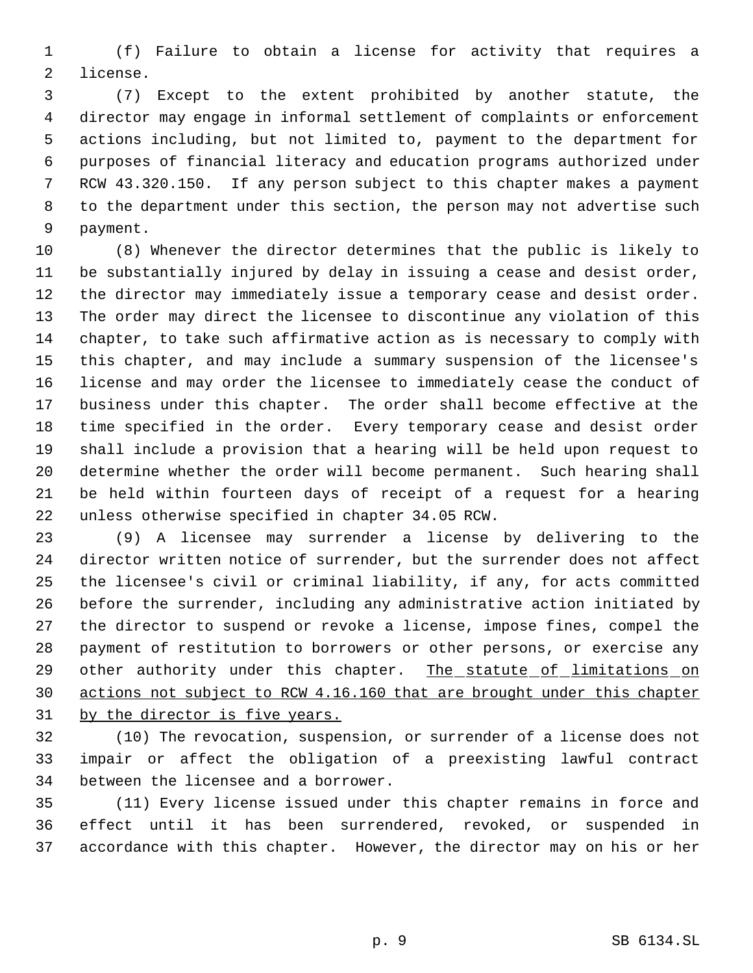(f) Failure to obtain a license for activity that requires a license.

 (7) Except to the extent prohibited by another statute, the director may engage in informal settlement of complaints or enforcement actions including, but not limited to, payment to the department for purposes of financial literacy and education programs authorized under RCW 43.320.150. If any person subject to this chapter makes a payment to the department under this section, the person may not advertise such payment.

 (8) Whenever the director determines that the public is likely to be substantially injured by delay in issuing a cease and desist order, the director may immediately issue a temporary cease and desist order. The order may direct the licensee to discontinue any violation of this chapter, to take such affirmative action as is necessary to comply with this chapter, and may include a summary suspension of the licensee's license and may order the licensee to immediately cease the conduct of business under this chapter. The order shall become effective at the time specified in the order. Every temporary cease and desist order shall include a provision that a hearing will be held upon request to determine whether the order will become permanent. Such hearing shall be held within fourteen days of receipt of a request for a hearing unless otherwise specified in chapter 34.05 RCW.

 (9) A licensee may surrender a license by delivering to the director written notice of surrender, but the surrender does not affect the licensee's civil or criminal liability, if any, for acts committed before the surrender, including any administrative action initiated by the director to suspend or revoke a license, impose fines, compel the payment of restitution to borrowers or other persons, or exercise any 29 other authority under this chapter. The statute of limitations on actions not subject to RCW 4.16.160 that are brought under this chapter 31 by the director is five years.

 (10) The revocation, suspension, or surrender of a license does not impair or affect the obligation of a preexisting lawful contract between the licensee and a borrower.

 (11) Every license issued under this chapter remains in force and effect until it has been surrendered, revoked, or suspended in accordance with this chapter. However, the director may on his or her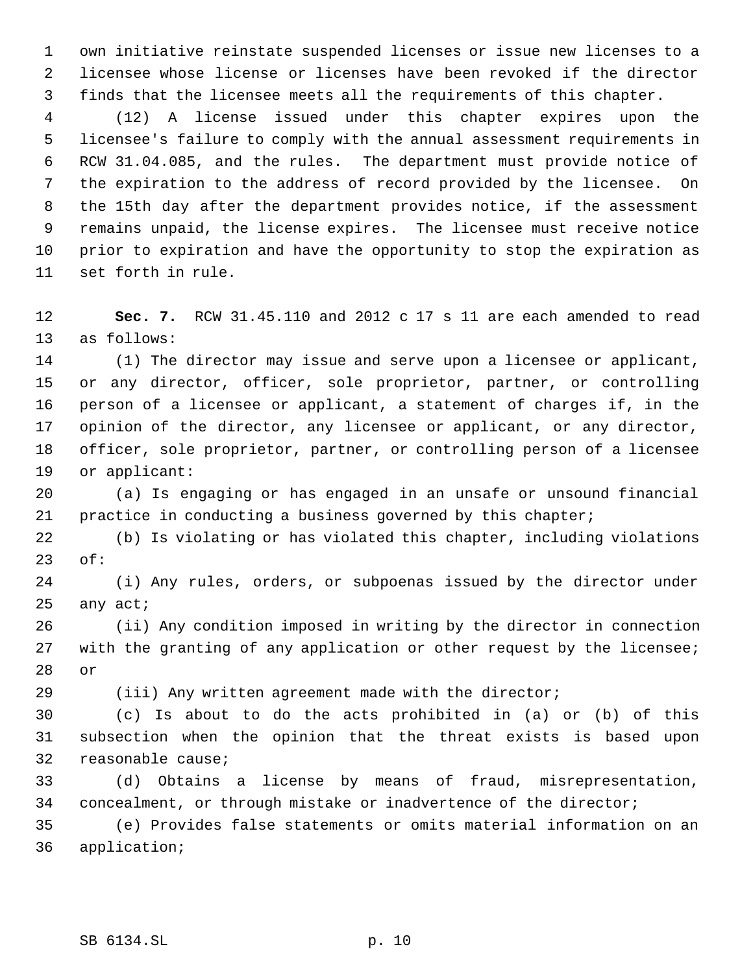own initiative reinstate suspended licenses or issue new licenses to a licensee whose license or licenses have been revoked if the director finds that the licensee meets all the requirements of this chapter.

 (12) A license issued under this chapter expires upon the licensee's failure to comply with the annual assessment requirements in RCW 31.04.085, and the rules. The department must provide notice of the expiration to the address of record provided by the licensee. On the 15th day after the department provides notice, if the assessment remains unpaid, the license expires. The licensee must receive notice prior to expiration and have the opportunity to stop the expiration as set forth in rule.

 **Sec. 7.** RCW 31.45.110 and 2012 c 17 s 11 are each amended to read as follows:

 (1) The director may issue and serve upon a licensee or applicant, or any director, officer, sole proprietor, partner, or controlling person of a licensee or applicant, a statement of charges if, in the opinion of the director, any licensee or applicant, or any director, officer, sole proprietor, partner, or controlling person of a licensee or applicant:

 (a) Is engaging or has engaged in an unsafe or unsound financial practice in conducting a business governed by this chapter;

 (b) Is violating or has violated this chapter, including violations of:

 (i) Any rules, orders, or subpoenas issued by the director under any act;

 (ii) Any condition imposed in writing by the director in connection 27 with the granting of any application or other request by the licensee; or

(iii) Any written agreement made with the director;

 (c) Is about to do the acts prohibited in (a) or (b) of this subsection when the opinion that the threat exists is based upon reasonable cause;

 (d) Obtains a license by means of fraud, misrepresentation, concealment, or through mistake or inadvertence of the director;

 (e) Provides false statements or omits material information on an application;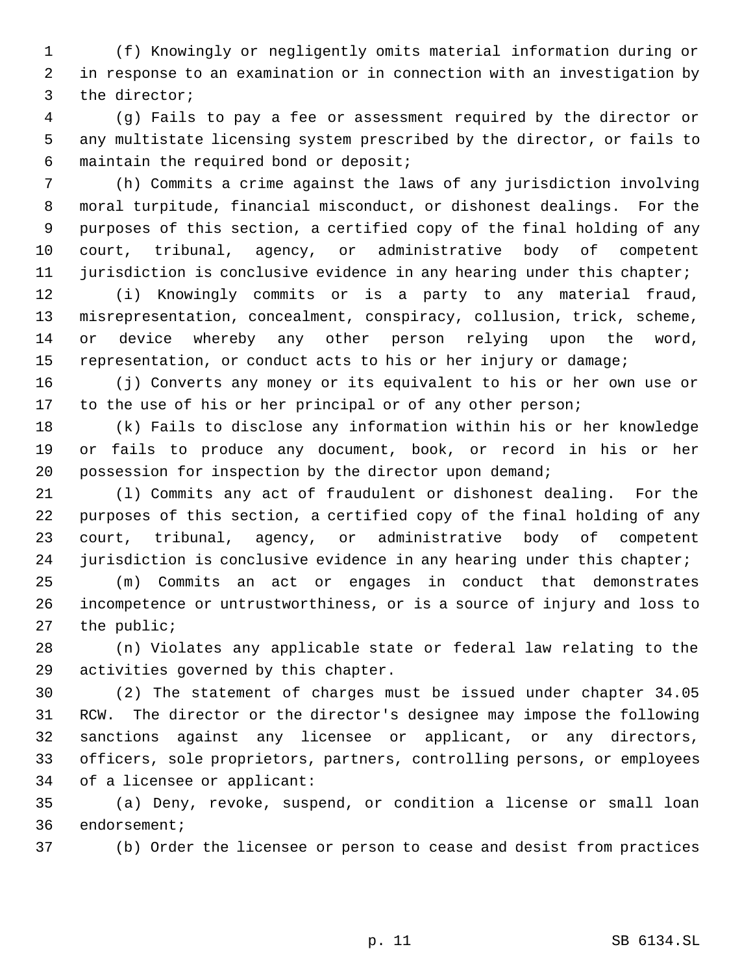(f) Knowingly or negligently omits material information during or in response to an examination or in connection with an investigation by the director;

 (g) Fails to pay a fee or assessment required by the director or any multistate licensing system prescribed by the director, or fails to maintain the required bond or deposit;

 (h) Commits a crime against the laws of any jurisdiction involving moral turpitude, financial misconduct, or dishonest dealings. For the purposes of this section, a certified copy of the final holding of any court, tribunal, agency, or administrative body of competent 11 jurisdiction is conclusive evidence in any hearing under this chapter;

 (i) Knowingly commits or is a party to any material fraud, misrepresentation, concealment, conspiracy, collusion, trick, scheme, or device whereby any other person relying upon the word, representation, or conduct acts to his or her injury or damage;

 (j) Converts any money or its equivalent to his or her own use or 17 to the use of his or her principal or of any other person;

 (k) Fails to disclose any information within his or her knowledge or fails to produce any document, book, or record in his or her possession for inspection by the director upon demand;

 (l) Commits any act of fraudulent or dishonest dealing. For the purposes of this section, a certified copy of the final holding of any court, tribunal, agency, or administrative body of competent 24 jurisdiction is conclusive evidence in any hearing under this chapter;

 (m) Commits an act or engages in conduct that demonstrates incompetence or untrustworthiness, or is a source of injury and loss to the public;

 (n) Violates any applicable state or federal law relating to the activities governed by this chapter.

 (2) The statement of charges must be issued under chapter 34.05 RCW. The director or the director's designee may impose the following sanctions against any licensee or applicant, or any directors, officers, sole proprietors, partners, controlling persons, or employees of a licensee or applicant:

 (a) Deny, revoke, suspend, or condition a license or small loan endorsement;

(b) Order the licensee or person to cease and desist from practices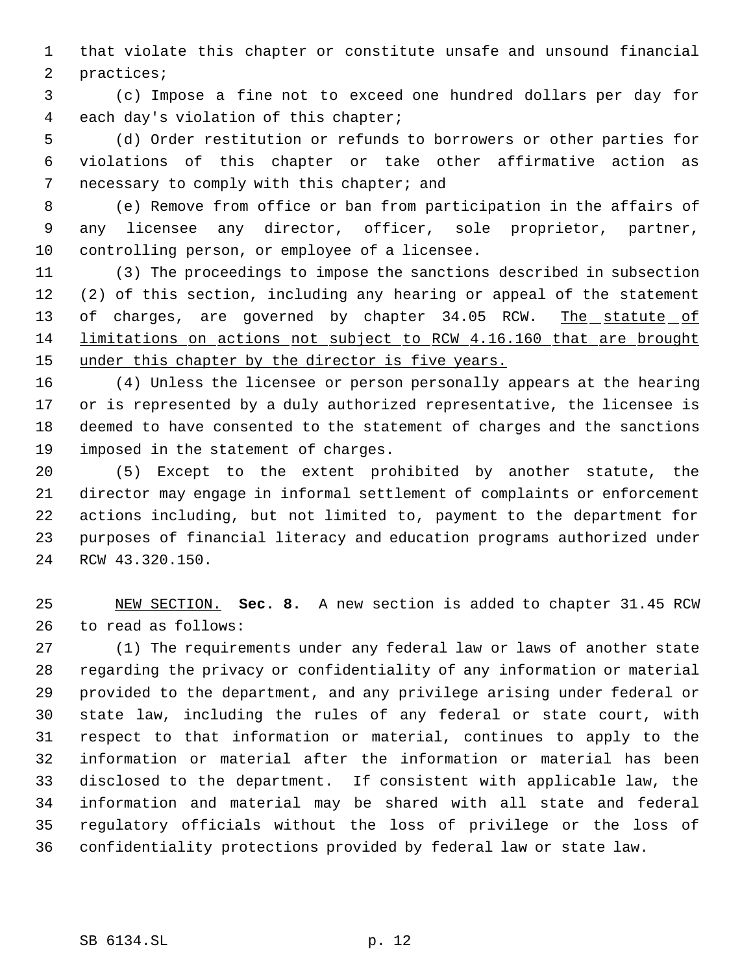that violate this chapter or constitute unsafe and unsound financial practices;

 (c) Impose a fine not to exceed one hundred dollars per day for each day's violation of this chapter;

 (d) Order restitution or refunds to borrowers or other parties for violations of this chapter or take other affirmative action as 7 necessary to comply with this chapter; and

 (e) Remove from office or ban from participation in the affairs of any licensee any director, officer, sole proprietor, partner, controlling person, or employee of a licensee.

 (3) The proceedings to impose the sanctions described in subsection (2) of this section, including any hearing or appeal of the statement 13 of charges, are governed by chapter 34.05 RCW. The statute of limitations on actions not subject to RCW 4.16.160 that are brought 15 under this chapter by the director is five years.

 (4) Unless the licensee or person personally appears at the hearing or is represented by a duly authorized representative, the licensee is deemed to have consented to the statement of charges and the sanctions imposed in the statement of charges.

 (5) Except to the extent prohibited by another statute, the director may engage in informal settlement of complaints or enforcement actions including, but not limited to, payment to the department for purposes of financial literacy and education programs authorized under RCW 43.320.150.

 NEW SECTION. **Sec. 8.** A new section is added to chapter 31.45 RCW to read as follows:

 (1) The requirements under any federal law or laws of another state regarding the privacy or confidentiality of any information or material provided to the department, and any privilege arising under federal or state law, including the rules of any federal or state court, with respect to that information or material, continues to apply to the information or material after the information or material has been disclosed to the department. If consistent with applicable law, the information and material may be shared with all state and federal regulatory officials without the loss of privilege or the loss of confidentiality protections provided by federal law or state law.